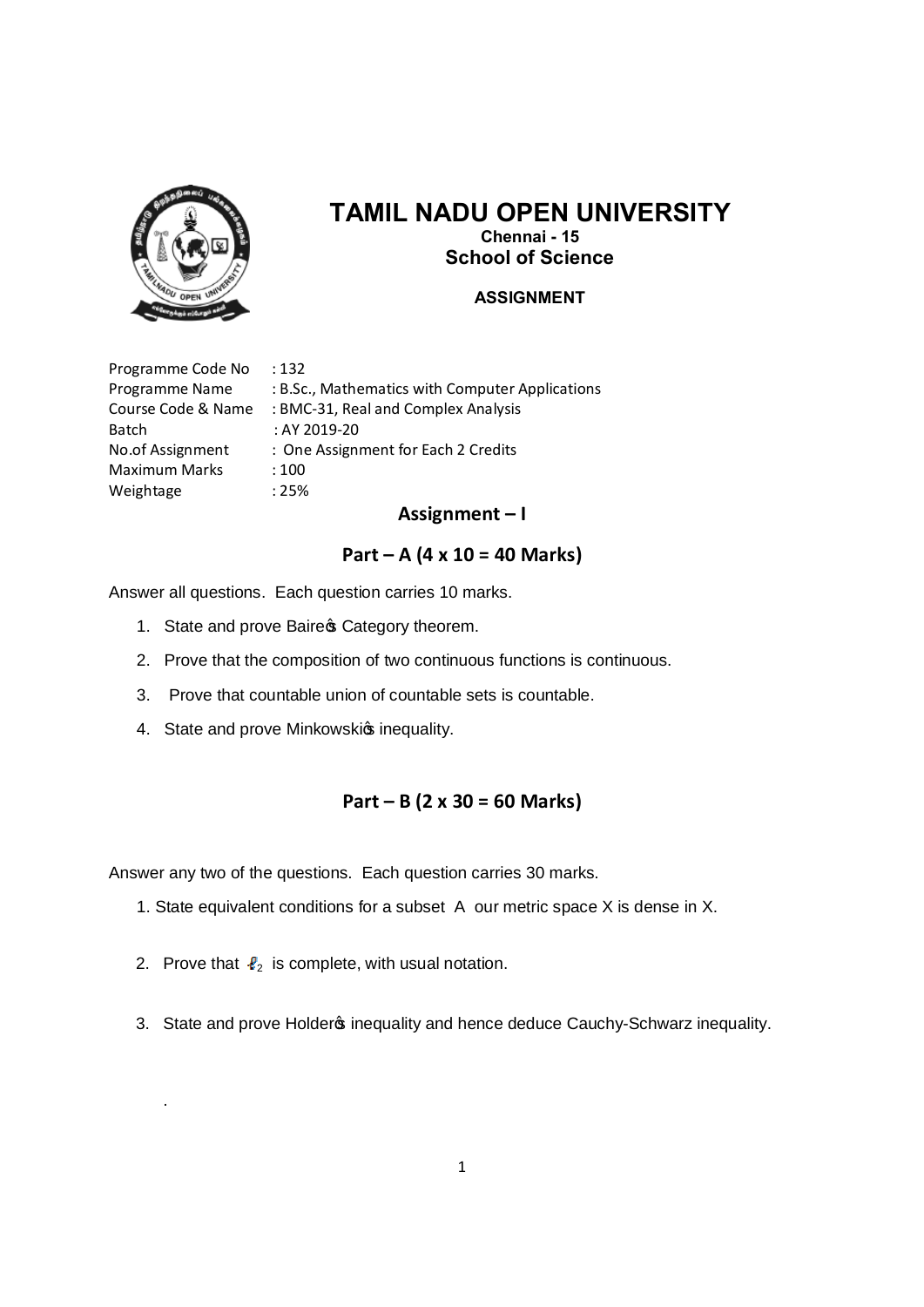

# **TAMIL NADU OPEN UNIVERSITY Chennai - 15 School of Science**

#### **ASSIGNMENT**

Programme Code No : 132 Programme Name : B.Sc., Mathematics with Computer Applications Course Code & Name : BMC-31, Real and Complex Analysis Batch : AY 2019-20 No.of Assignment : One Assignment for Each 2 Credits Maximum Marks : 100 Weightage : 25%

#### **Assignment – I**

# **Part – A (4 x 10 = 40 Marks)**

Answer all questions. Each question carries 10 marks.

- 1. State and prove Baire & Category theorem.
- 2. Prove that the composition of two continuous functions is continuous.
- 3. Prove that countable union of countable sets is countable.
- 4. State and prove Minkowskis inequality.

#### **Part – B (2 x 30 = 60 Marks)**

Answer any two of the questions. Each question carries 30 marks.

- 1. State equivalent conditions for a subset A our metric space X is dense in X.
- 2. Prove that  $\ell_2$  is complete, with usual notation.

.

3. State and prove Holder inequality and hence deduce Cauchy-Schwarz inequality.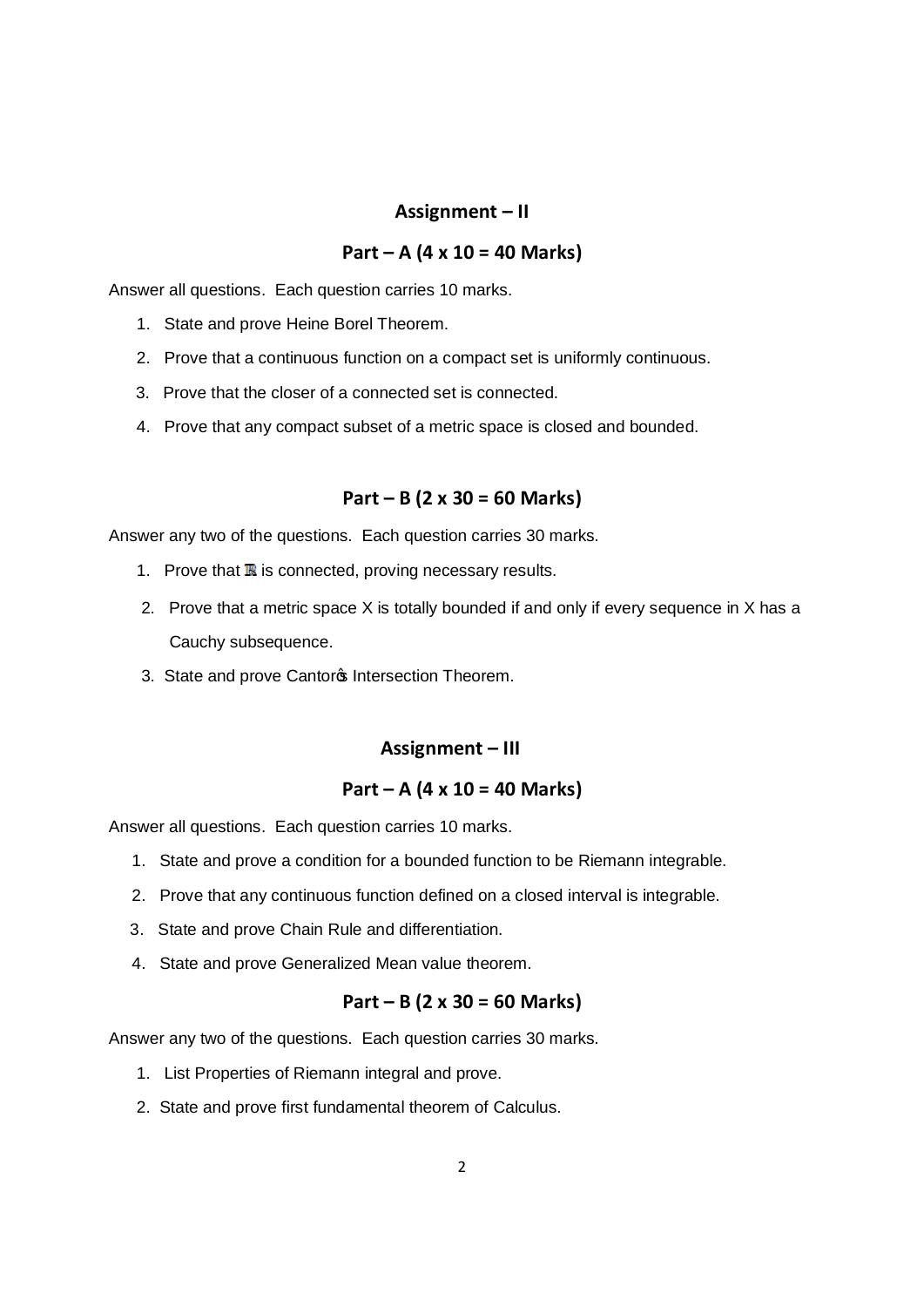# **Assignment – II**

# **Part – A (4 x 10 = 40 Marks)**

Answer all questions. Each question carries 10 marks.

- 1. State and prove Heine Borel Theorem.
- 2. Prove that a continuous function on a compact set is uniformly continuous.
- 3. Prove that the closer of a connected set is connected.
- 4. Prove that any compact subset of a metric space is closed and bounded.

#### **Part – B (2 x 30 = 60 Marks)**

Answer any two of the questions. Each question carries 30 marks.

- 1. Prove that  $\mathbb R$  is connected, proving necessary results.
- 2. Prove that a metric space X is totally bounded if and only if every sequence in X has a Cauchy subsequence.
- 3. State and prove Cantor<sup>\$</sup> Intersection Theorem.

#### **Assignment – III**

# **Part – A (4 x 10 = 40 Marks)**

Answer all questions. Each question carries 10 marks.

- 1. State and prove a condition for a bounded function to be Riemann integrable.
- 2. Prove that any continuous function defined on a closed interval is integrable.
- 3. State and prove Chain Rule and differentiation.
- 4. State and prove Generalized Mean value theorem.

#### **Part – B (2 x 30 = 60 Marks)**

- 1. List Properties of Riemann integral and prove.
- 2. State and prove first fundamental theorem of Calculus.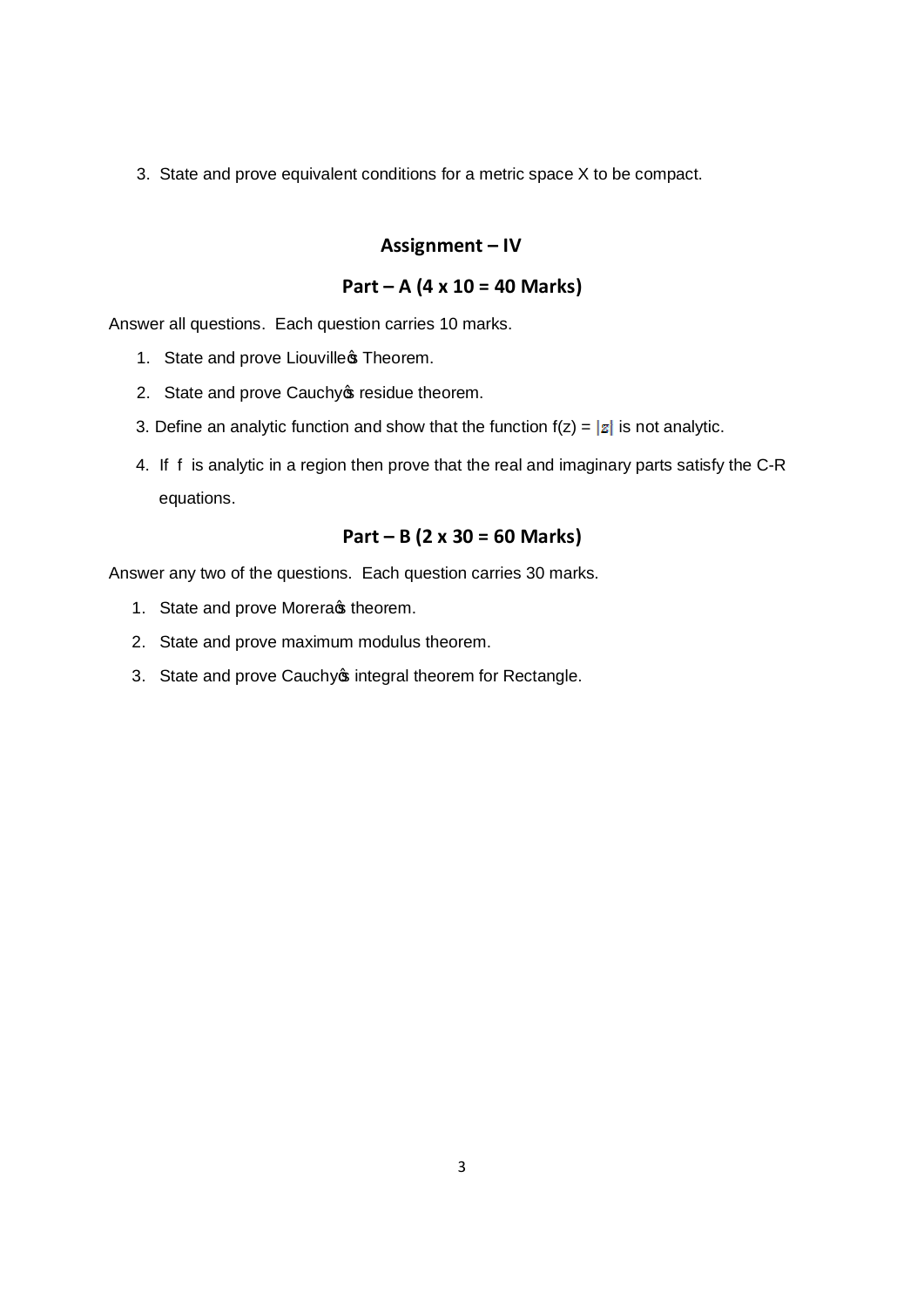3. State and prove equivalent conditions for a metric space X to be compact.

#### **Assignment – IV**

# **Part – A (4 x 10 = 40 Marks)**

Answer all questions. Each question carries 10 marks.

- 1. State and prove Liouvilles Theorem.
- 2. State and prove Cauchy o residue theorem.
- 3. Define an analytic function and show that the function  $f(z) = |z|$  is not analytic.
- 4. If f is analytic in a region then prove that the real and imaginary parts satisfy the C-R equations.

## **Part – B (2 x 30 = 60 Marks)**

- 1. State and prove Morera stheorem.
- 2. State and prove maximum modulus theorem.
- 3. State and prove Cauchy  $\phi$  integral theorem for Rectangle.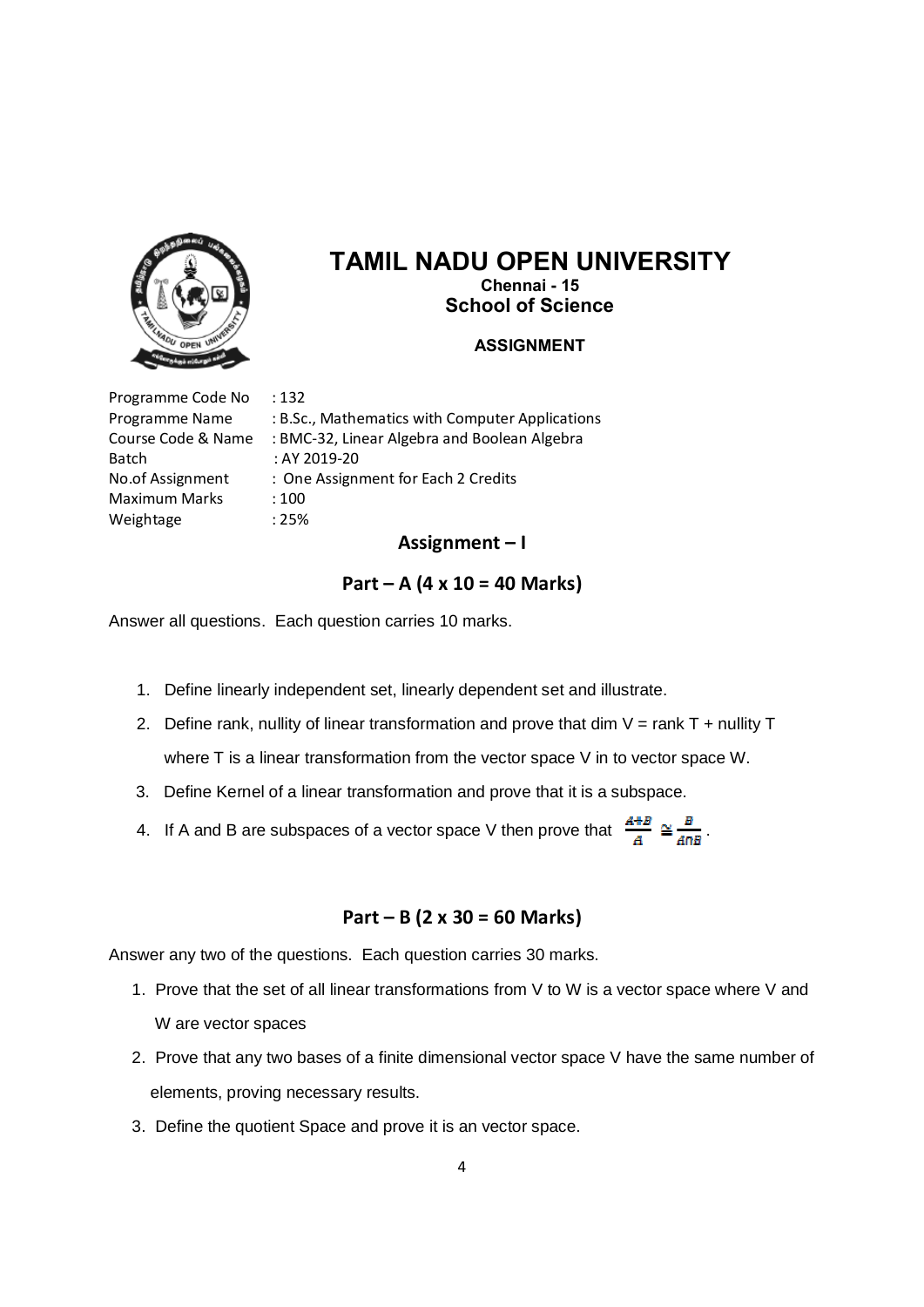

# **TAMIL NADU OPEN UNIVERSITY**

**Chennai - 15 School of Science**

#### **ASSIGNMENT**

Programme Code No : 132 Batch : AY 2019-20 Maximum Marks : 100 Weightage : 25%

Programme Name : B.Sc., Mathematics with Computer Applications Course Code & Name : BMC-32, Linear Algebra and Boolean Algebra No.of Assignment : One Assignment for Each 2 Credits

#### **Assignment – I**

#### **Part – A (4 x 10 = 40 Marks)**

Answer all questions. Each question carries 10 marks.

- 1. Define linearly independent set, linearly dependent set and illustrate.
- 2. Define rank, nullity of linear transformation and prove that dim  $V = rank T + nullity T$ where T is a linear transformation from the vector space V in to vector space W.
- 3. Define Kernel of a linear transformation and prove that it is a subspace.
- 4. If A and B are subspaces of a vector space V then prove that  $\frac{A+B}{A} \cong \frac{B}{4\pi B}$ .

## **Part – B (2 x 30 = 60 Marks)**

- 1. Prove that the set of all linear transformations from V to W is a vector space where V and W are vector spaces
- 2. Prove that any two bases of a finite dimensional vector space V have the same number of elements, proving necessary results.
- 3. Define the quotient Space and prove it is an vector space.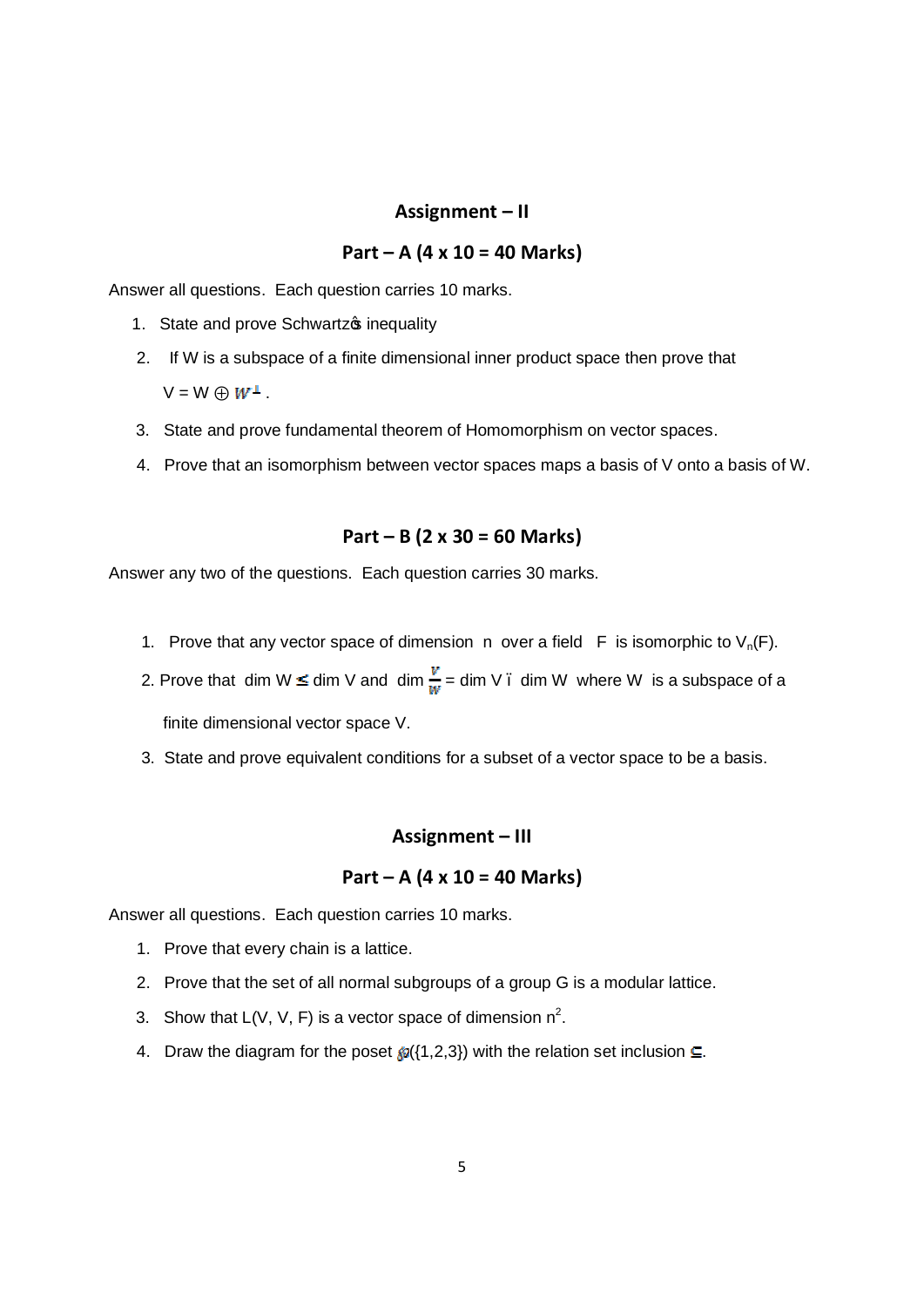### **Assignment – II**

# **Part – A (4 x 10 = 40 Marks)**

Answer all questions. Each question carries 10 marks.

- 1. State and prove Schwartz o inequality
- 2. If W is a subspace of a finite dimensional inner product space then prove that  $V = W \oplus W^{\perp}$ .
- 3. State and prove fundamental theorem of Homomorphism on vector spaces.
- 4. Prove that an isomorphism between vector spaces maps a basis of V onto a basis of W.

### **Part – B (2 x 30 = 60 Marks)**

Answer any two of the questions. Each question carries 30 marks.

- 1. Prove that any vector space of dimension n over a field F is isomorphic to  $V_n(F)$ .
- 2. Prove that dim W  $\leq$  dim V and dim  $\frac{v}{w}$  = dim V  $\cdot$  dim W where W is a subspace of a finite dimensional vector space V.
- 3. State and prove equivalent conditions for a subset of a vector space to be a basis.

#### **Assignment – III**

#### **Part – A (4 x 10 = 40 Marks)**

Answer all questions. Each question carries 10 marks.

- 1. Prove that every chain is a lattice.
- 2. Prove that the set of all normal subgroups of a group G is a modular lattice.
- 3. Show that  $L(V, V, F)$  is a vector space of dimension  $n^2$ .
- 4. Draw the diagram for the poset  $\mathcal{D}(\{1,2,3\})$  with the relation set inclusion  $\subseteq$ .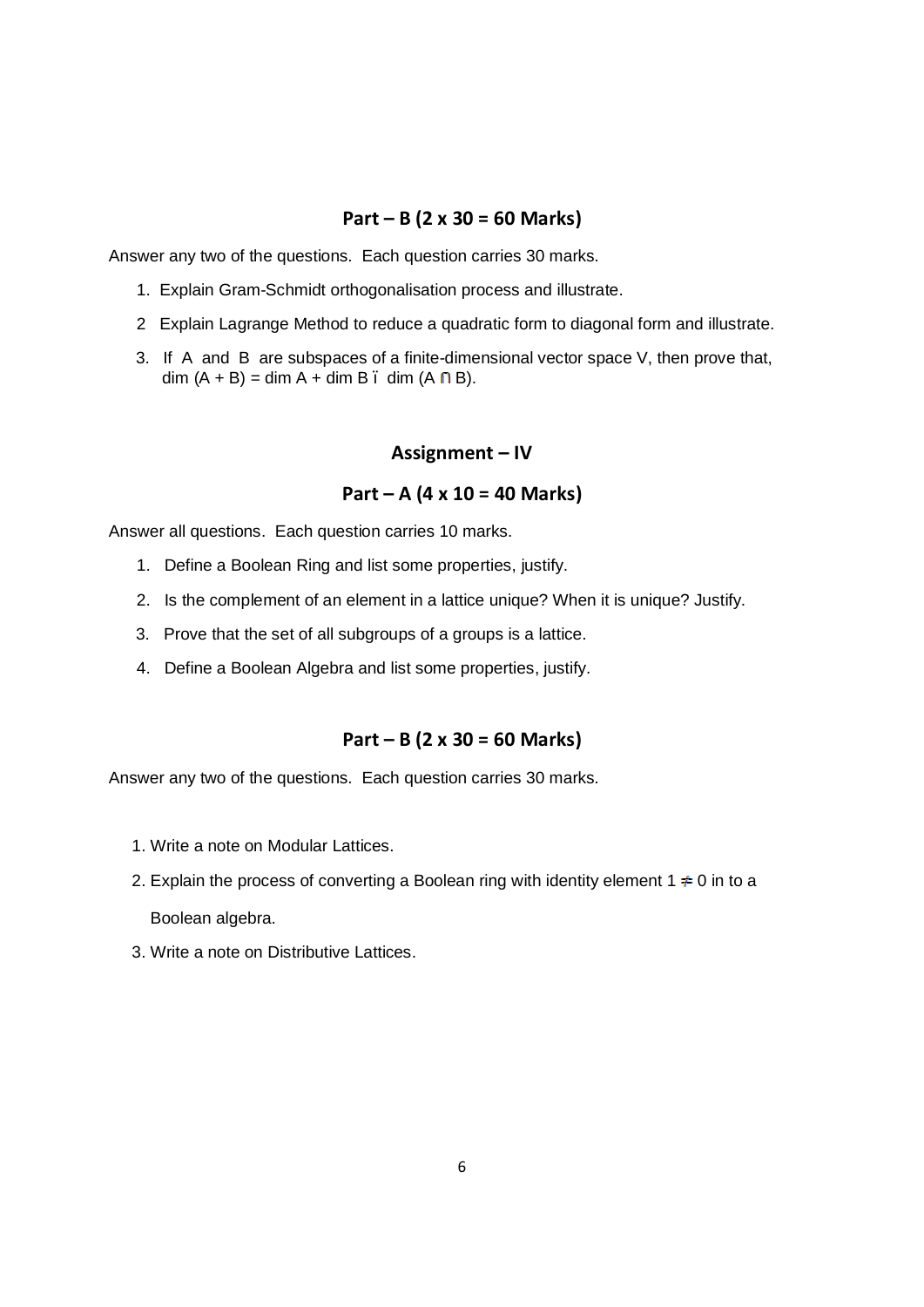# **Part – B (2 x 30 = 60 Marks)**

Answer any two of the questions. Each question carries 30 marks.

- 1. Explain Gram-Schmidt orthogonalisation process and illustrate.
- 2 Explain Lagrange Method to reduce a quadratic form to diagonal form and illustrate.
- 3. If A and B are subspaces of a finite-dimensional vector space V, then prove that, dim  $(A + B) = \dim A + \dim B$ . dim  $(A \cap B)$ .

#### **Assignment – IV**

### **Part – A (4 x 10 = 40 Marks)**

Answer all questions. Each question carries 10 marks.

- 1. Define a Boolean Ring and list some properties, justify.
- 2. Is the complement of an element in a lattice unique? When it is unique? Justify.
- 3. Prove that the set of all subgroups of a groups is a lattice.
- 4. Define a Boolean Algebra and list some properties, justify.

## **Part – B (2 x 30 = 60 Marks)**

- 1. Write a note on Modular Lattices.
- 2. Explain the process of converting a Boolean ring with identity element 1  $\neq$  0 in to a Boolean algebra.
- 3. Write a note on Distributive Lattices.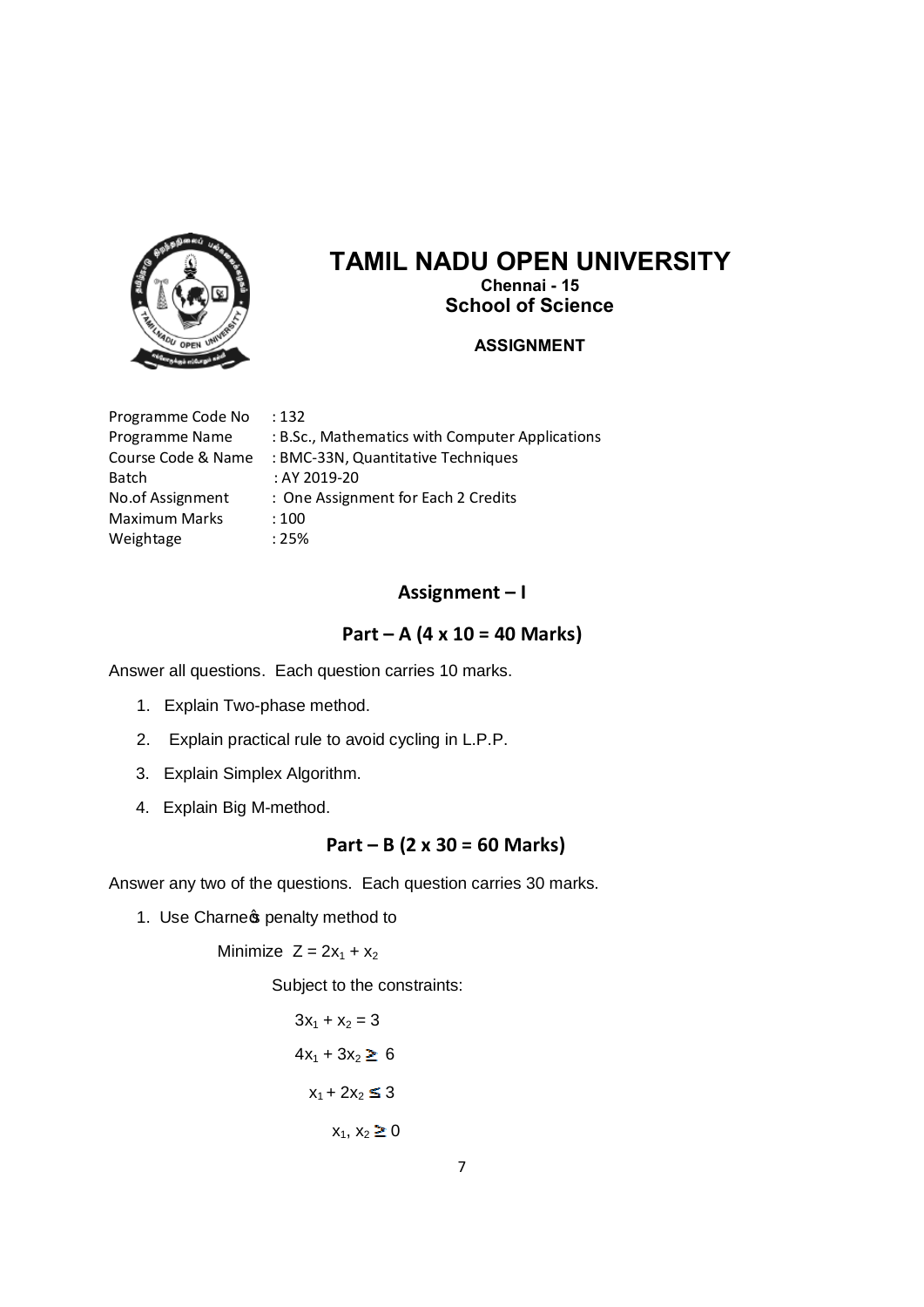

# **TAMIL NADU OPEN UNIVERSITY**

**Chennai - 15 School of Science**

#### **ASSIGNMENT**

| Programme Code No  | :132                                            |
|--------------------|-------------------------------------------------|
| Programme Name     | : B.Sc., Mathematics with Computer Applications |
| Course Code & Name | : BMC-33N, Quantitative Techniques              |
| Batch              | : AY 2019-20                                    |
| No.of Assignment   | : One Assignment for Each 2 Credits             |
| Maximum Marks      | :100                                            |
| Weightage          | : 25%                                           |

# **Assignment – I**

### **Part – A (4 x 10 = 40 Marks)**

Answer all questions. Each question carries 10 marks.

- 1. Explain Two-phase method.
- 2. Explain practical rule to avoid cycling in L.P.P.
- 3. Explain Simplex Algorithm.
- 4. Explain Big M-method.

# **Part – B (2 x 30 = 60 Marks)**

Answer any two of the questions. Each question carries 30 marks.

1. Use Charnes penalty method to

Minimize  $Z = 2x_1 + x_2$ 

Subject to the constraints:

$$
3x1 + x2 = 3
$$
  

$$
4x1 + 3x2 \ge 6
$$
  

$$
x1 + 2x2 \le 3
$$
  

$$
x1, x2 \ge 0
$$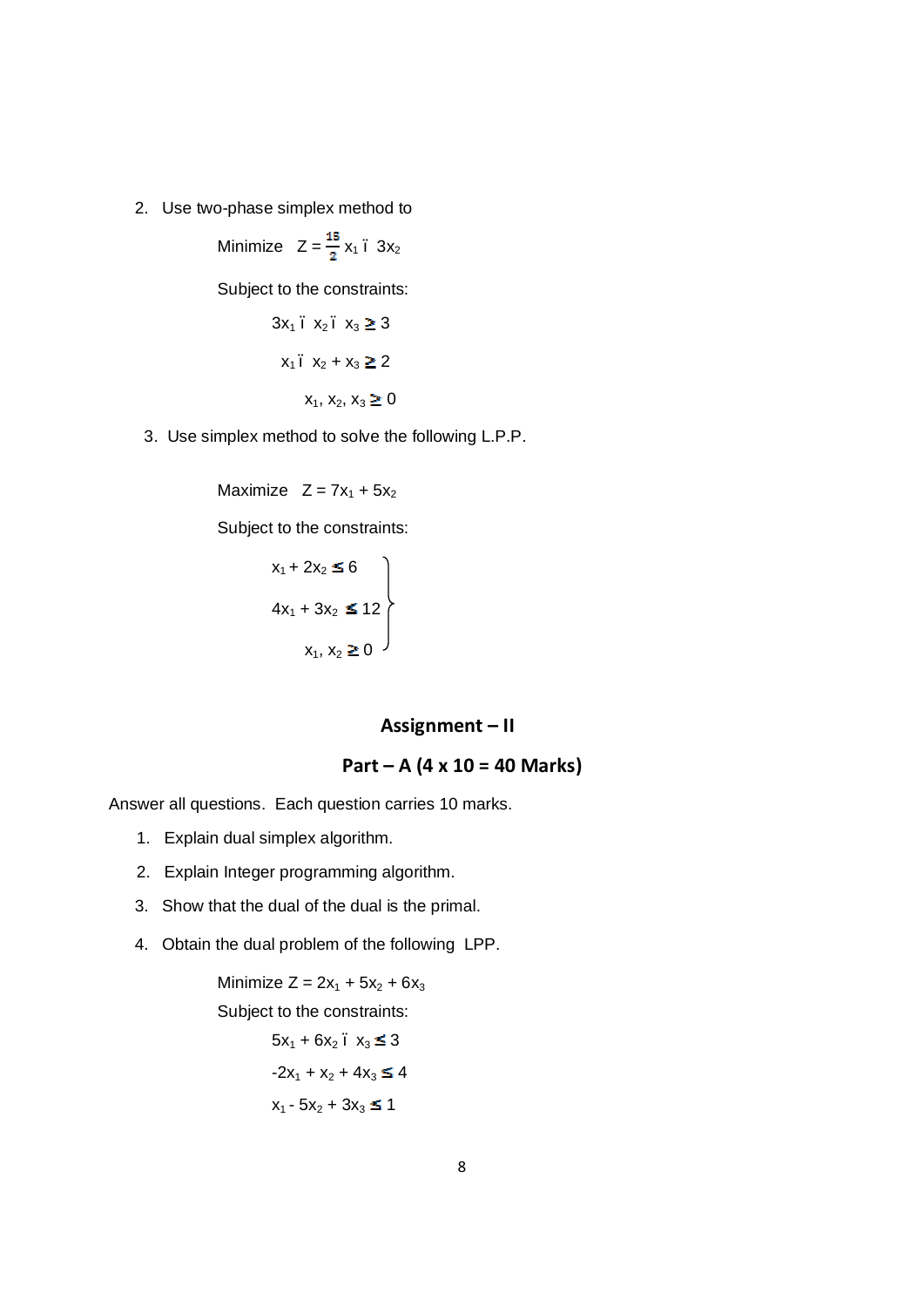2. Use two-phase simplex method to

Minimize  $Z = \frac{15}{2}x_1 \cdot 3x_2$ 

Subject to the constraints:

$$
3x_1 \cdot x_2 \cdot x_3 \ge 3
$$
  

$$
x_1 \cdot x_2 + x_3 \ge 2
$$
  

$$
x_1, x_2, x_3 \ge 0
$$

3. Use simplex method to solve the following L.P.P.

Maximize  $Z = 7x_1 + 5x_2$ 

Subject to the constraints:

$$
x_1 + 2x_2 \le 6
$$
  
\n
$$
4x_1 + 3x_2 \le 12
$$
  
\n
$$
x_1, x_2 \ge 0
$$

## **Assignment – II**

$$
Part - A (4 \times 10 = 40 Marks)
$$

Answer all questions. Each question carries 10 marks.

- 1. Explain dual simplex algorithm.
- 2. Explain Integer programming algorithm.
- 3. Show that the dual of the dual is the primal.
- 4. Obtain the dual problem of the following LPP.

Minimize  $Z = 2x_1 + 5x_2 + 6x_3$ Subject to the constraints:  $5x_1 + 6x_2$ .  $x_3 \leq 3$  $-2x_1 + x_2 + 4x_3 \le 4$  $x_1 - 5x_2 + 3x_3 \le 1$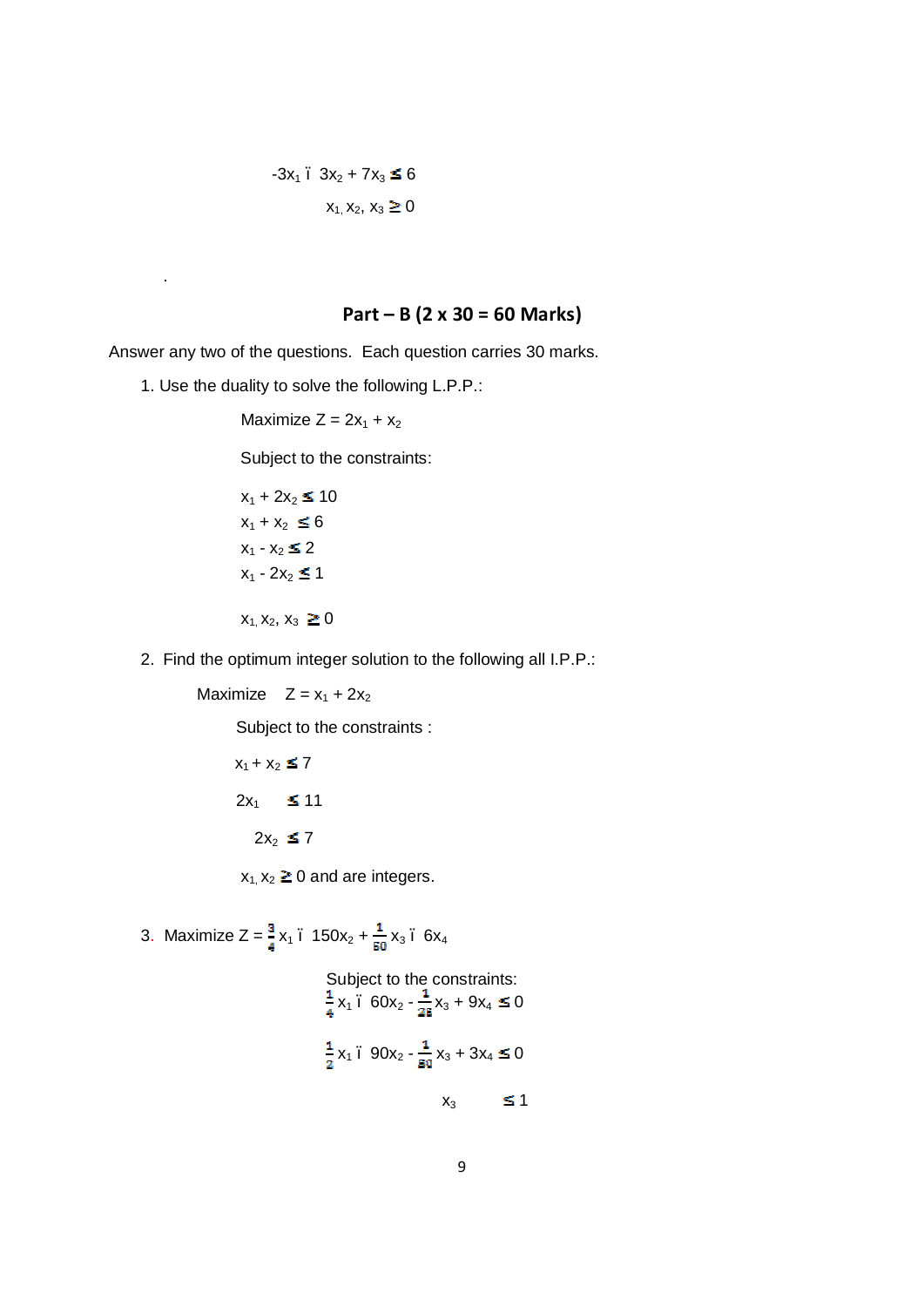# $-3x_1$  .  $3x_2 + 7x_3 \le 6$

# $x_1, x_2, x_3 \ge 0$

# **Part – B (2 x 30 = 60 Marks)**

Answer any two of the questions. Each question carries 30 marks.

1. Use the duality to solve the following L.P.P.:

.

Maximize  $Z = 2x_1 + x_2$ 

Subject to the constraints:

$$
x_1 + 2x_2 \le 10
$$
  
\n
$$
x_1 + x_2 \le 6
$$
  
\n
$$
x_1 - x_2 \le 2
$$
  
\n
$$
x_1 - 2x_2 \le 1
$$
  
\n
$$
x_1, x_2, x_3 \ge 0
$$

2. Find the optimum integer solution to the following all I.P.P.:

Maximize  $Z = x_1 + 2x_2$ 

Subject to the constraints :

$$
x_1 + x_2 \le 7
$$
  

$$
2x_1 \le 11
$$
  

$$
2x_2 \le 7
$$

 $x_1, x_2 \ge 0$  and are integers.

3. Maximize 
$$
Z = \frac{3}{4}x_1
$$
.  $150x_2 + \frac{1}{50}x_3$ .  $6x_4$   
\nSubject to the constraints:  
\n $\frac{1}{4}x_1$ .  $60x_2 - \frac{1}{25}x_3 + 9x_4 \le 0$   
\n $\frac{1}{2}x_1$ .  $90x_2 - \frac{1}{50}x_3 + 3x_4 \le 0$ 

$$
x_3 \leq 1
$$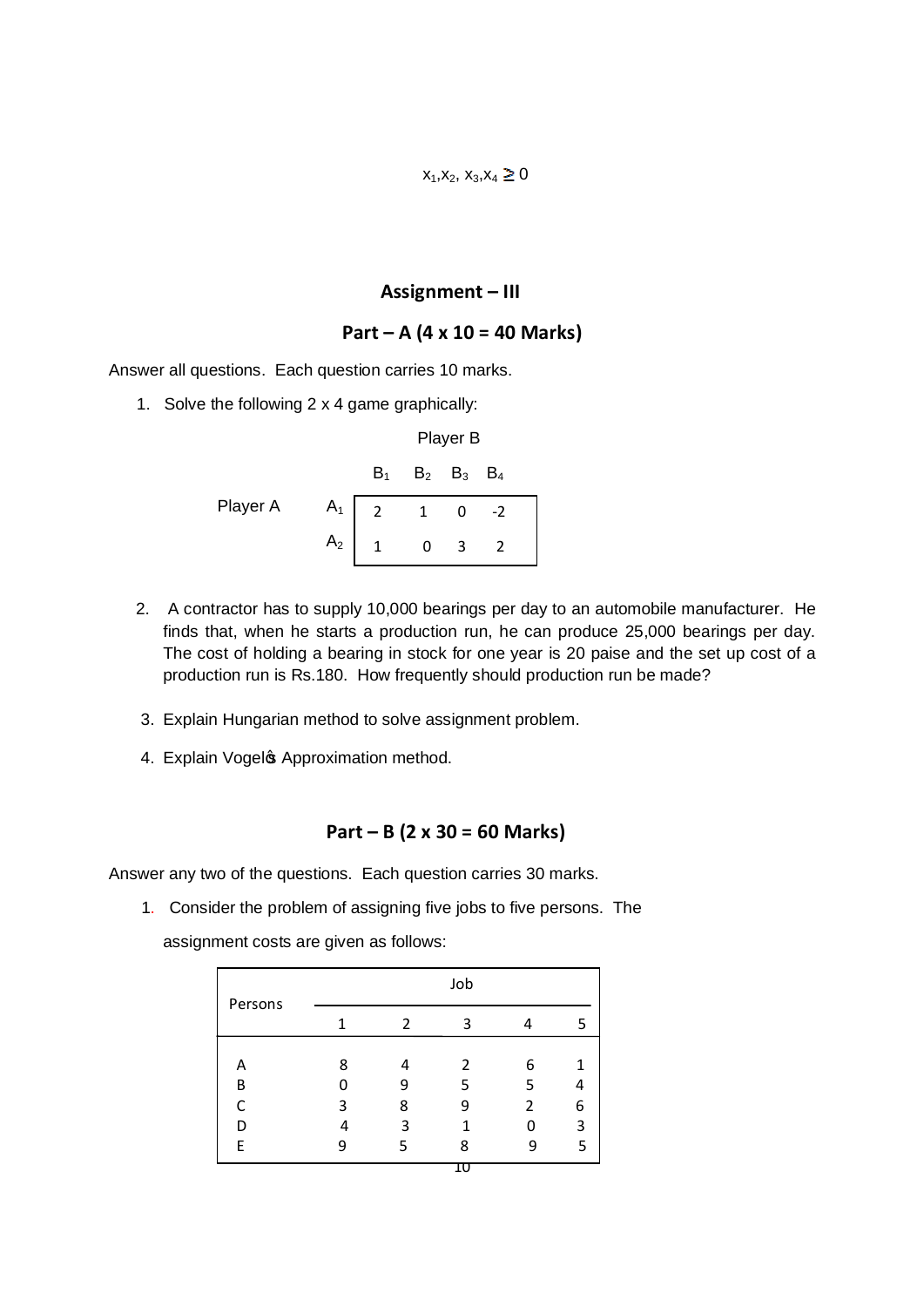# **Assignment – III**

# **Part – A (4 x 10 = 40 Marks)**

Answer all questions. Each question carries 10 marks.

1. Solve the following 2 x 4 game graphically:

|          | Player B       |                         |  |  |  |
|----------|----------------|-------------------------|--|--|--|
|          |                | $B_1$ $B_2$ $B_3$ $B_4$ |  |  |  |
| Player A | $A_1$ 2 1 0 -2 |                         |  |  |  |
|          | $A_2$ 1 0 3 2  |                         |  |  |  |

- 2. A contractor has to supply 10,000 bearings per day to an automobile manufacturer. He finds that, when he starts a production run, he can produce 25,000 bearings per day. The cost of holding a bearing in stock for one year is 20 paise and the set up cost of a production run is Rs.180. How frequently should production run be made?
- 3. Explain Hungarian method to solve assignment problem.
- 4. Explain Vogels Approximation method.

#### **Part – B (2 x 30 = 60 Marks)**

Answer any two of the questions. Each question carries 30 marks.

 1. Consider the problem of assigning five jobs to five persons. The assignment costs are given as follows:

| Persons |   |   | Job |                |   |
|---------|---|---|-----|----------------|---|
|         | 1 | 2 | ς   |                | 5 |
|         |   |   |     |                |   |
| А       | 8 | 4 | 2   | 6              | 1 |
| B       | n | q | 5   | 5              | 4 |
| C       | 3 | 8 | 9   | $\overline{2}$ | 6 |
| D       |   | ς | 1   |                | 3 |
| F       | Ο | 5 | ጸ   | n              | 5 |
|         |   |   |     |                |   |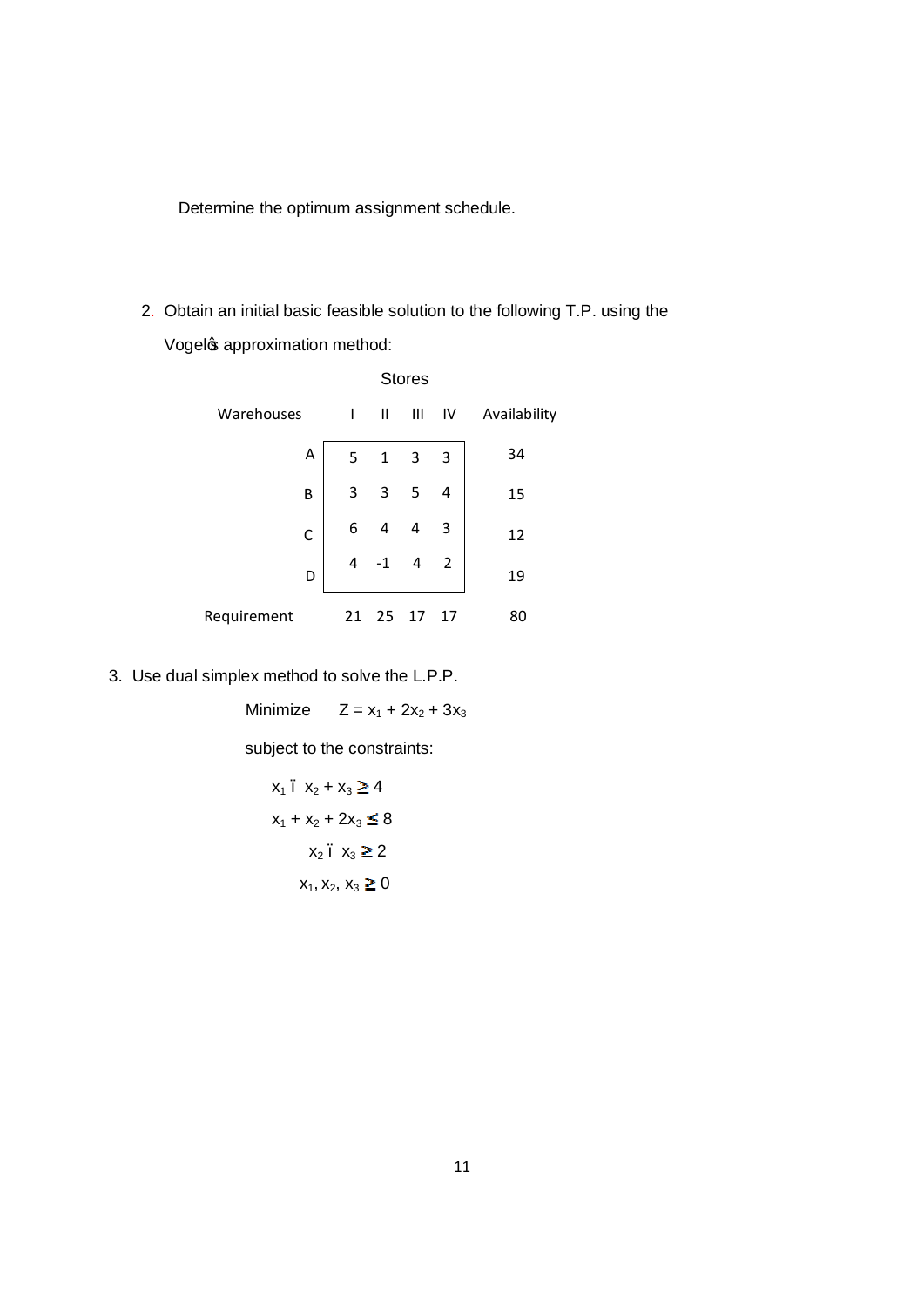Determine the optimum assignment schedule.

 2. Obtain an initial basic feasible solution to the following T.P. using the Vogel & approximation method:

|              |    |              | <b>Stores</b>           |                |              |
|--------------|----|--------------|-------------------------|----------------|--------------|
| Warehouses   | I  | $\mathbf{I}$ | Ш                       | IV             | Availability |
| Α            | 5  | $\mathbf{1}$ | $\overline{\mathbf{3}}$ | 3              | 34           |
| B            | 3  | 3            | 5                       | 4              | 15           |
| $\mathsf{C}$ | 6  | 4            | 4                       | 3              | 12           |
| D            | 4  |              | 4                       | $\overline{2}$ | 19           |
| Requirement  | 21 | 25           | 17                      | 17             | 80           |

3. Use dual simplex method to solve the L.P.P.

Minimize  $Z = x_1 + 2x_2 + 3x_3$ 

subject to the constraints:

$$
x_1 \cdot x_2 + x_3 \ge 4
$$
  

$$
x_1 + x_2 + 2x_3 \le 8
$$
  

$$
x_2 \cdot x_3 \ge 2
$$
  

$$
x_1, x_2, x_3 \ge 0
$$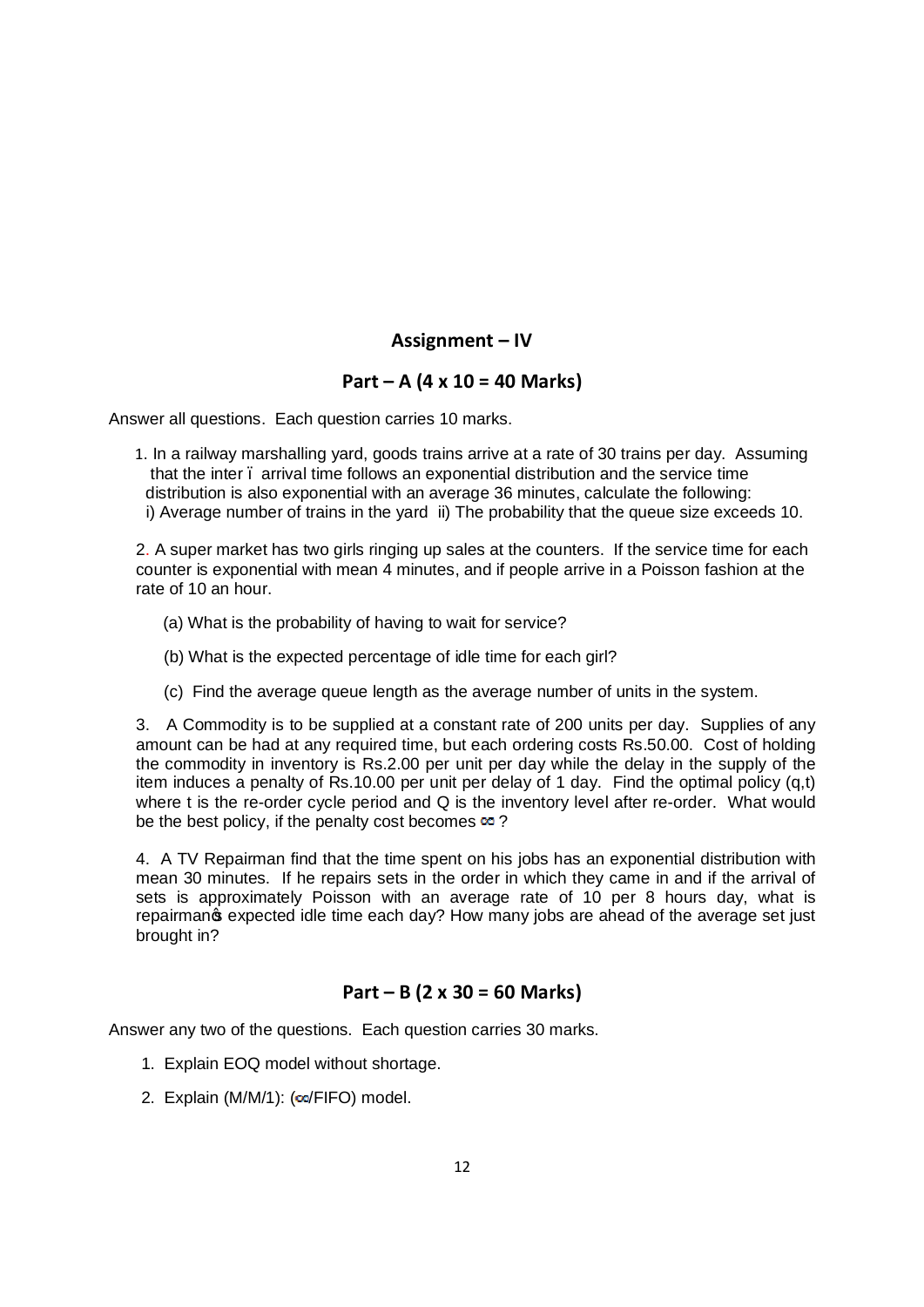# **Assignment – IV**

# **Part – A (4 x 10 = 40 Marks)**

Answer all questions. Each question carries 10 marks.

 1. In a railway marshalling yard, goods trains arrive at a rate of 30 trains per day. Assuming that the inter – arrival time follows an exponential distribution and the service time distribution is also exponential with an average 36 minutes, calculate the following: i) Average number of trains in the yard ii) The probability that the queue size exceeds 10.

2. A super market has two girls ringing up sales at the counters. If the service time for each counter is exponential with mean 4 minutes, and if people arrive in a Poisson fashion at the rate of 10 an hour.

- (a) What is the probability of having to wait for service?
- (b) What is the expected percentage of idle time for each girl?
- (c) Find the average queue length as the average number of units in the system.

3. A Commodity is to be supplied at a constant rate of 200 units per day. Supplies of any amount can be had at any required time, but each ordering costs Rs.50.00. Cost of holding the commodity in inventory is Rs.2.00 per unit per day while the delay in the supply of the item induces a penalty of Rs.10.00 per unit per delay of 1 day. Find the optimal policy (q,t) where t is the re-order cycle period and Q is the inventory level after re-order. What would be the best policy, if the penalty cost becomes  $\infty$  ?

4. A TV Repairman find that the time spent on his jobs has an exponential distribution with mean 30 minutes. If he repairs sets in the order in which they came in and if the arrival of sets is approximately Poisson with an average rate of 10 per 8 hours day, what is repairmang expected idle time each day? How many jobs are ahead of the average set just brought in?

# **Part – B (2 x 30 = 60 Marks)**

- 1. Explain EOQ model without shortage.
- 2. Explain (M/M/1):  $(∞/FIFO)$  model.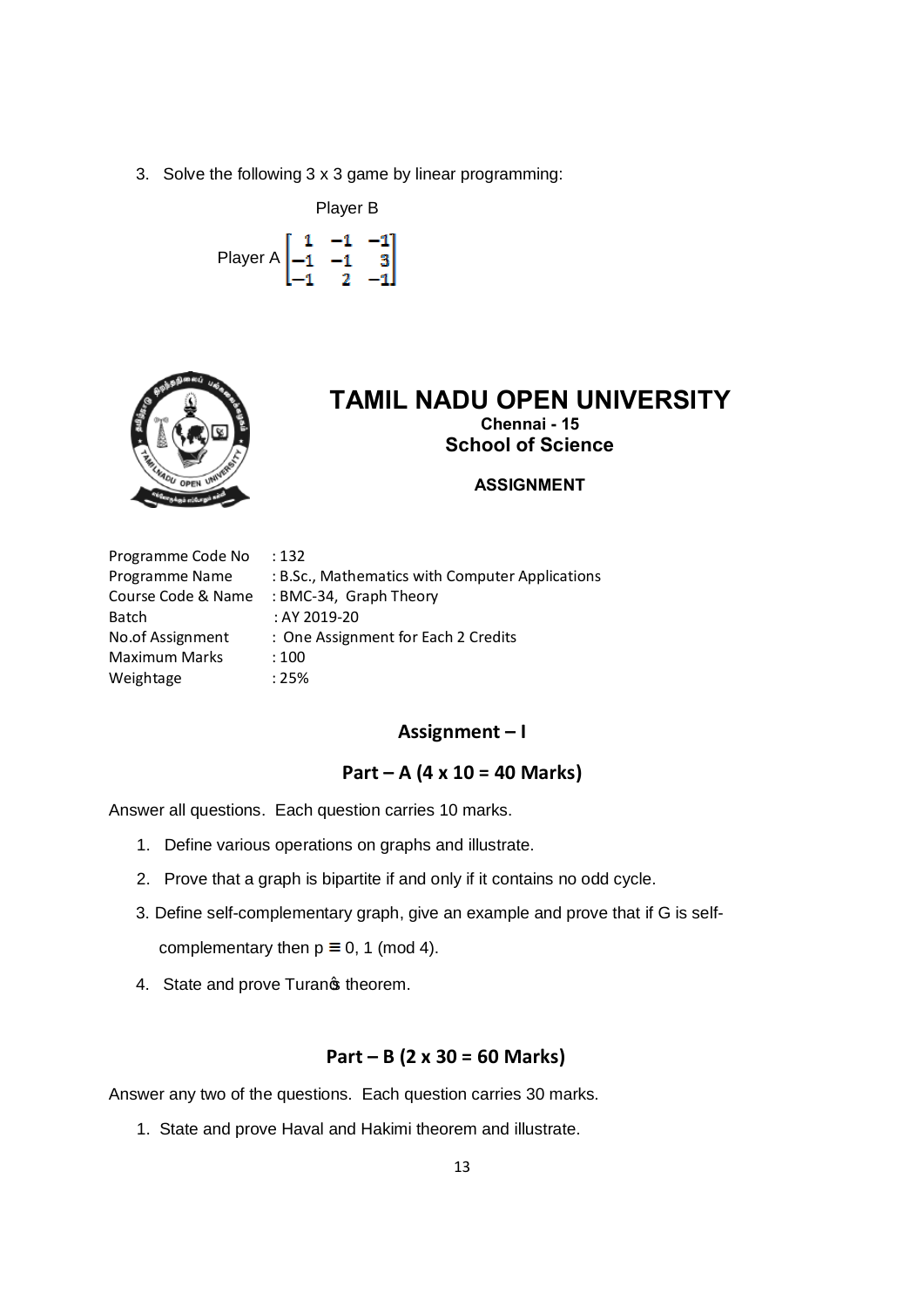3. Solve the following 3 x 3 game by linear programming:

 Player B Player A  $\begin{bmatrix} 1 & -1 & -1 \\ -1 & -1 & 3 \\ -1 & 2 & -1 \end{bmatrix}$ 



# **TAMIL NADU OPEN UNIVERSITY Chennai - 15 School of Science**

**ASSIGNMENT**

| Programme Code No    | :132                                            |
|----------------------|-------------------------------------------------|
| Programme Name       | : B.Sc., Mathematics with Computer Applications |
| Course Code & Name   | : BMC-34, Graph Theory                          |
| Batch                | : AY 2019-20                                    |
| No.of Assignment     | : One Assignment for Each 2 Credits             |
| <b>Maximum Marks</b> | :100                                            |
| Weightage            | :25%                                            |

#### **Assignment – I**

## **Part – A (4 x 10 = 40 Marks)**

Answer all questions. Each question carries 10 marks.

- 1. Define various operations on graphs and illustrate.
- 2. Prove that a graph is bipartite if and only if it contains no odd cycle.
- 3. Define self-complementary graph, give an example and prove that if G is self-

complementary then  $p \equiv 0, 1 \pmod{4}$ .

4. State and prove Turanos theorem.

## **Part – B (2 x 30 = 60 Marks)**

Answer any two of the questions. Each question carries 30 marks.

1. State and prove Haval and Hakimi theorem and illustrate.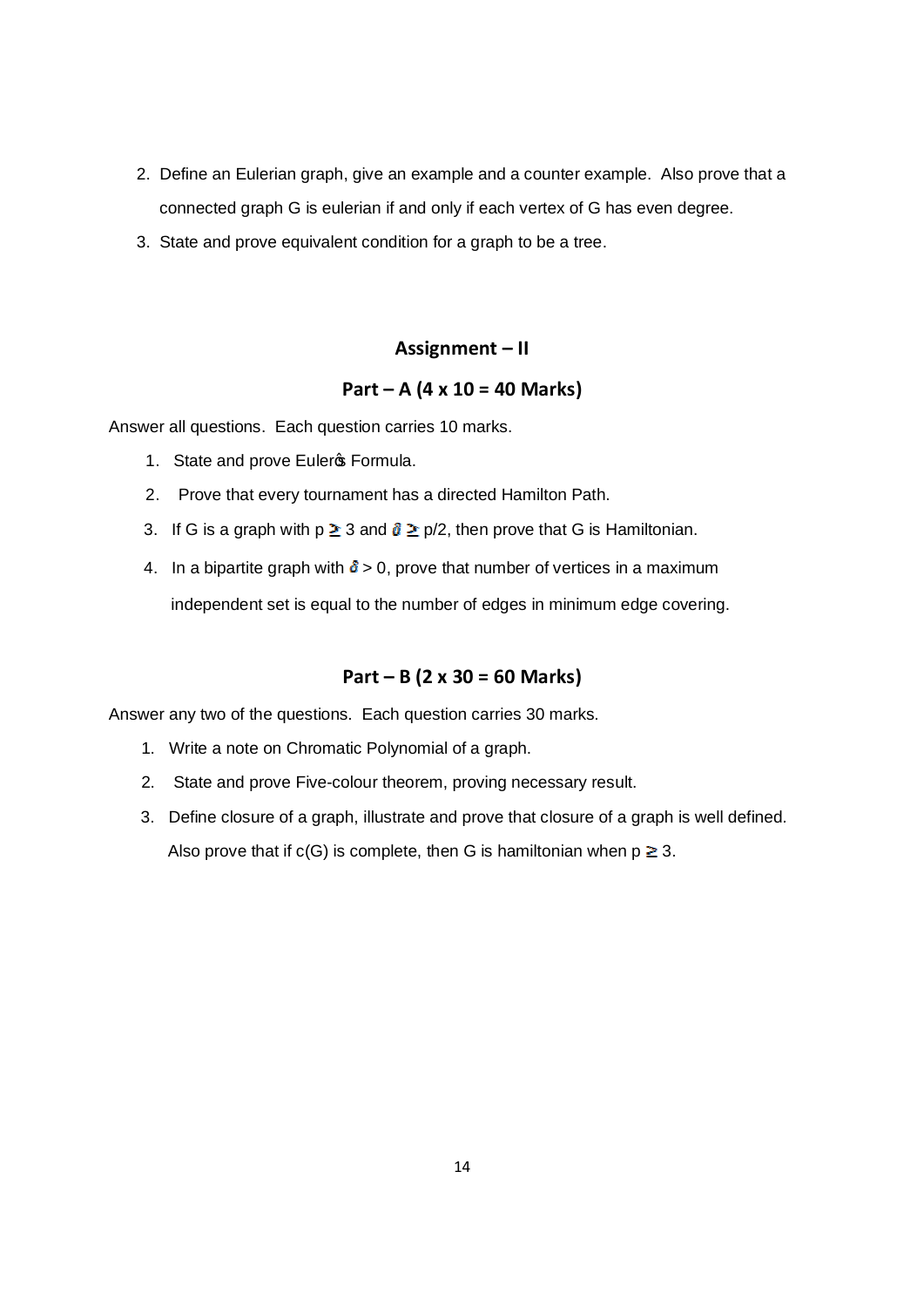- 2. Define an Eulerian graph, give an example and a counter example. Also prove that a connected graph G is eulerian if and only if each vertex of G has even degree.
- 3. State and prove equivalent condition for a graph to be a tree.

#### **Assignment – II**

#### **Part – A (4 x 10 = 40 Marks)**

Answer all questions. Each question carries 10 marks.

- 1. State and prove Euleros Formula.
- 2. Prove that every tournament has a directed Hamilton Path.
- 3. If G is a graph with  $p \ge 3$  and  $\delta \ge p/2$ , then prove that G is Hamiltonian.
- 4. In a bipartite graph with  $\delta > 0$ , prove that number of vertices in a maximum

independent set is equal to the number of edges in minimum edge covering.

# **Part – B (2 x 30 = 60 Marks)**

- 1. Write a note on Chromatic Polynomial of a graph.
- 2. State and prove Five-colour theorem, proving necessary result.
- 3. Define closure of a graph, illustrate and prove that closure of a graph is well defined. Also prove that if  $c(G)$  is complete, then G is hamiltonian when  $p \ge 3$ .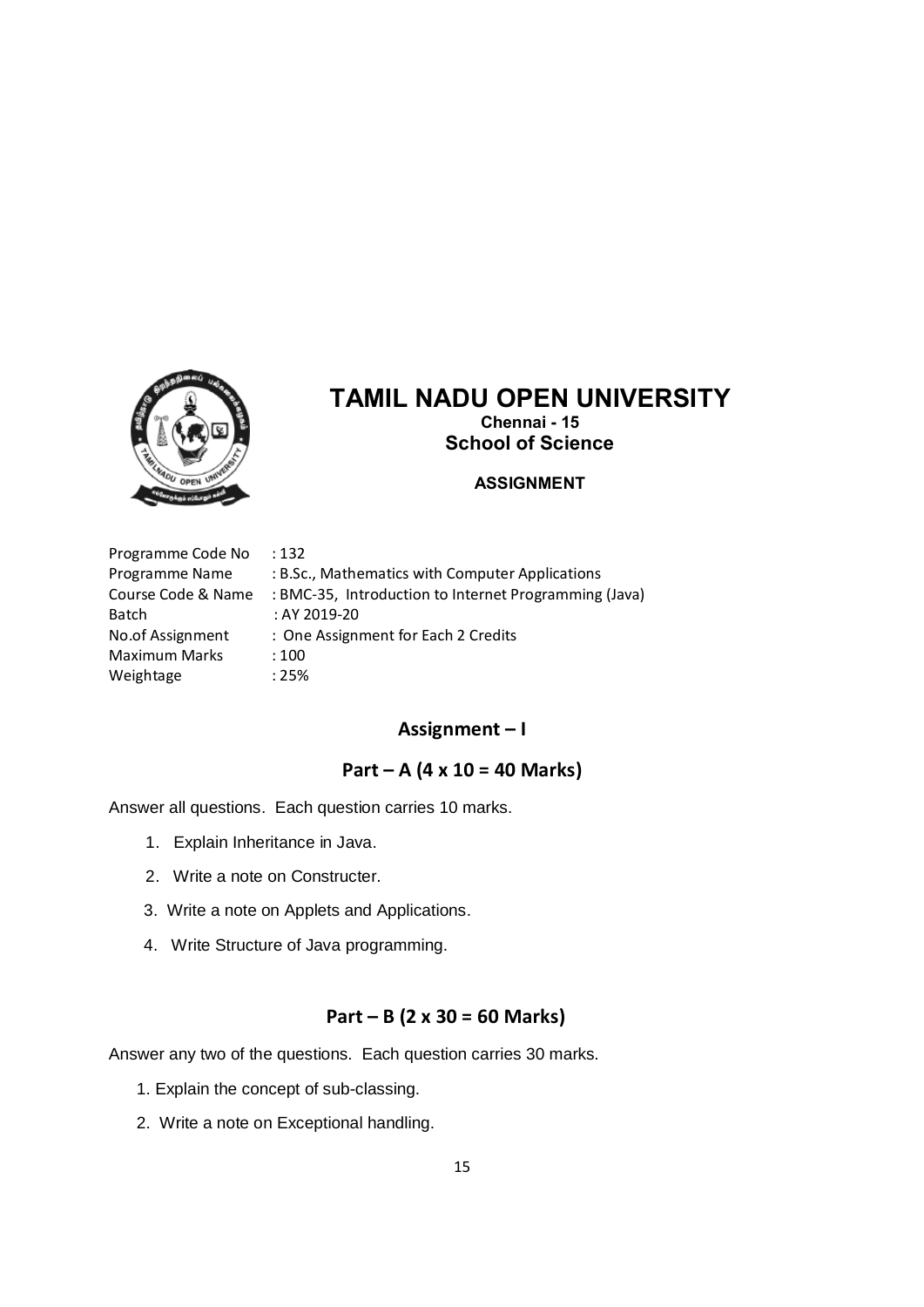

# **TAMIL NADU OPEN UNIVERSITY Chennai - 15 School of Science**

#### **ASSIGNMENT**

Programme Code No : 132 Programme Name : B.Sc., Mathematics with Computer Applications Course Code & Name : BMC-35, Introduction to Internet Programming (Java) Batch : AY 2019-20 No.of Assignment : One Assignment for Each 2 Credits Maximum Marks : 100 Weightage : 25%

#### **Assignment – I**

## **Part – A (4 x 10 = 40 Marks)**

Answer all questions. Each question carries 10 marks.

- 1. Explain Inheritance in Java.
- 2. Write a note on Constructer.
- 3. Write a note on Applets and Applications.
- 4. Write Structure of Java programming.

#### **Part – B (2 x 30 = 60 Marks)**

- 1. Explain the concept of sub-classing.
- 2. Write a note on Exceptional handling.